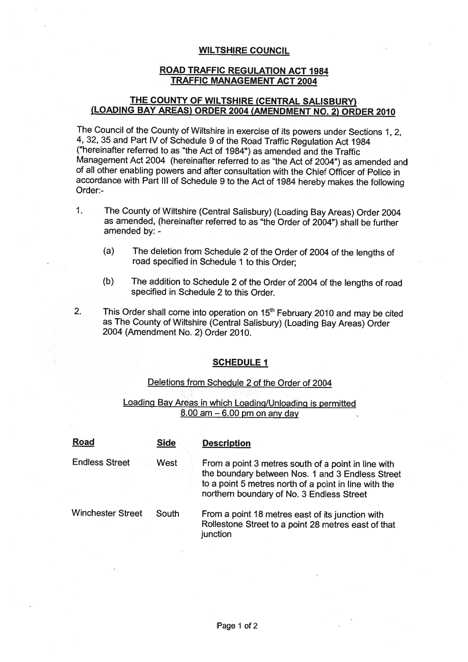#### **WILTSHIRE COUNCIL**

## ROAD TRAFFIC REGULATION ACT 1984 **TRAFFIC MANAGEMENT ACT 2004**

## THE COUNTY OF WILTSHIRE (CENTRAL SALISBURY) (LOADING BAY AREAS) **ORDER 2004 (AMENDMENT NO. 2) ORDER 2010**

The Council of the County of Wiltshire **in exercise of its powers under Sections 1, 2,** 4, 32, 35 and Part IV of Schedule 9 of the **Road** Traffic **Regulation** Act 1984 **("hereinafter** referred to as "the Act of 1984") **as amended and the** Traffic **Management** Act 2004 **(hereinafter** referred **to as** "the Act of 2004") **as amended and of all other enabling powers and after consultation** with the Chief Officer of Police in accordance with Part III of Schedule 9 to the Act of 1984 hereby makes the **following** Order:-

- 1. The County of Wiltshire (Central Salisbury) (Loading Bay Areas) Order 2004 as amended, (hereinafter referred to as "the Order of 2004") shall be further amended by: -
	- (a) The deletion from Schedule 2 of the Order of 2004 of the lengths of road specified in Schedule 1 to this Order;
	- (b) The addition to Schedule 2 of the Order of 2004 of the lengths of road specified in Schedule 2 to this Order.
- 

2. This Order shall come into operation on  $15<sup>th</sup>$  February 2010 and may be cited as The County of Wiltshire (Central Salisbury) (Loading Bay Areas) Order 2004 (Amendment No. 2) Order 2010.

### **SCHEDULE 1**

### **Deletions from** Schedule 2 of the Order of 2004

## Loading Bay Areas in which Loading/Unloading is permitted  $8.00$  am  $-6.00$  pm on any day

| <b>Road</b>              | <b>Side</b> | <b>Description</b>                                                                                                                                                                                            |
|--------------------------|-------------|---------------------------------------------------------------------------------------------------------------------------------------------------------------------------------------------------------------|
| <b>Endless Street</b>    | West        | From a point 3 metres south of a point in line with<br>the boundary between Nos. 1 and 3 Endless Street<br>to a point 5 metres north of a point in line with the<br>northern boundary of No. 3 Endless Street |
| <b>Winchester Street</b> | South       | From a point 18 metres east of its junction with<br>Rollestone Street to a point 28 metres east of that<br><i>iunction</i>                                                                                    |